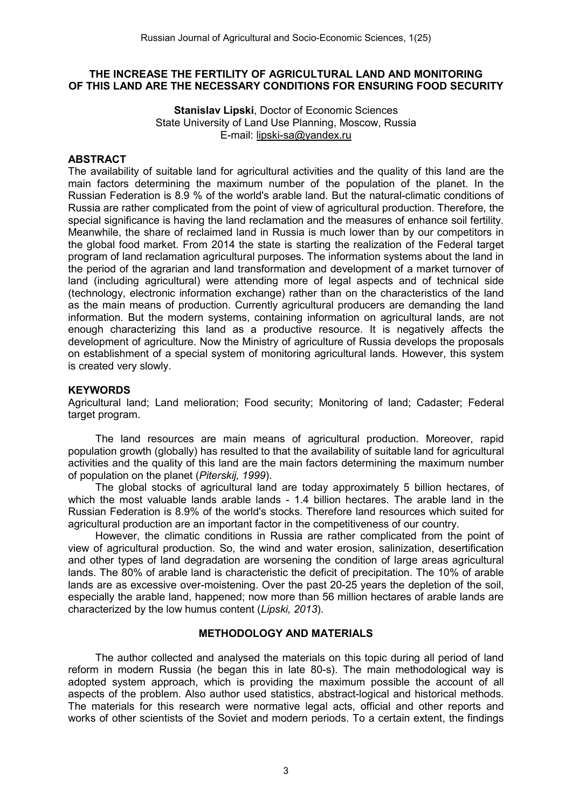## THE INCREASE THE FERTILITY OF AGRICULTURAL LAND AND MONITORING OF THIS LAND ARE THE NECESSARY CONDITIONS FOR ENSURING FOOD SECURITY

Stanislav Lipski, Doctor of Economic Sciences State University of Land Use Planning, Moscow, Russia E-mail: [lipski-sa@yandex.ru](mailto:lipski-sa@yandex.ru)

## ABSTRACT

The availability of suitable land for agricultural activities and the quality of this land are the main factors determining the maximum number of the population of the planet. In the Russian Federation is 8.9 % of the world's arable land. But the natural-climatic conditions of Russia are rather complicated from the point of view of agricultural production. Therefore, the special significance is having the land reclamation and the measures of enhance soil fertility. Meanwhile, the share of reclaimed land in Russia is much lower than by our competitors in the global food market. From 2014 the state is starting the realization of the Federal target program of land reclamation agricultural purposes. The information systems about the land in the period of the agrarian and land transformation and development of a market turnover of land (including agricultural) were attending more of legal aspects and of technical side (technology, electronic information exchange) rather than on the characteristics of the land as the main means of production. Currently agricultural producers are demanding the land information. But the modern systems, containing information on agricultural lands, are not enough characterizing this land as a productive resource. It is negatively affects the development of agriculture. Now the Ministry of agriculture of Russia develops the proposals on establishment of a special system of monitoring agricultural lands. However, this system is created very slowly.

#### **KEYWORDS**

Agricultural land; Land melioration; Food security; Monitoring of land; Cadaster; Federal target program.

The land resources are main means of agricultural production. Moreover, rapid population growth (globally) has resulted to that the availability of suitable land for agricultural activities and the quality of this land are the main factors determining the maximum number of population on the planet (*Piterskij, 1999*).

The global stocks of agricultural land are today approximately 5 billion hectares, of which the most valuable lands arable lands - 1.4 billion hectares. The arable land in the Russian Federation is 8.9% of the world's stocks. Therefore land resources which suited for agricultural production are an important factor in the competitiveness of our country.

However, the climatic conditions in Russia are rather complicated from the point of view of agricultural production. So, the wind and water erosion, salinization, desertification and other types of land degradation are worsening the condition of large areas agricultural lands. The 80% of arable land is characteristic the deficit of precipitation. The 10% of arable lands are as excessive over-moistening. Over the past 20-25 years the depletion of the soil, especially the arable land, happened; now more than 56 million hectares of arable lands are characterized by the low humus content (*Lipski, 2013*).

#### METHODOLOGY AND MATERIALS

The author collected and analysed the materials on this topic during all period of land reform in modern Russia (he began this in late 80-s). The main methodological way is adopted system approach, which is providing the maximum possible the account of all aspects of the problem. Also author used statistics, abstract-logical and historical methods. The materials for this research were normative legal acts, official and other reports and works of other scientists of the Soviet and modern periods. To a certain extent, the findings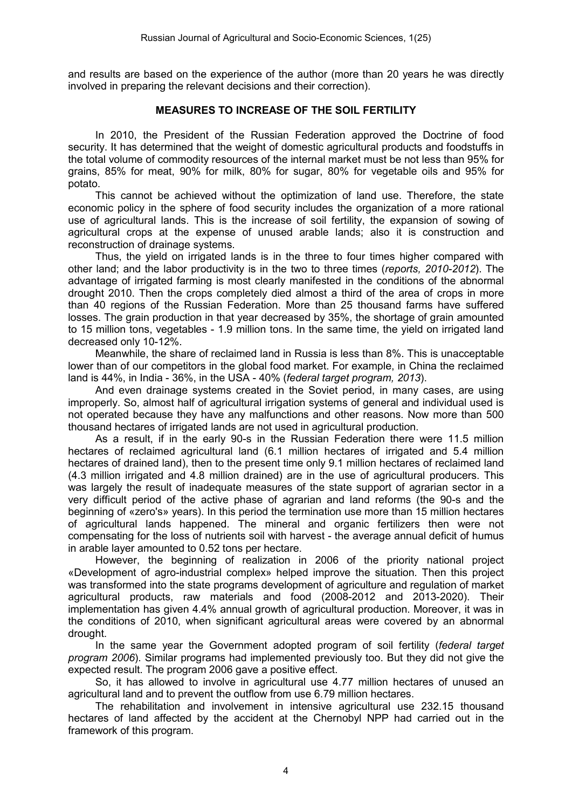and results are based on the experience of the author (more than 20 years he was directly involved in preparing the relevant decisions and their correction).

# MEASURES TO INCREASE OF THE SOIL FERTILITY

In 2010, the President of the Russian Federation approved the Doctrine of food security. It has determined that the weight of domestic agricultural products and foodstuffs in the total volume of commodity resources of the internal market must be not less than 95% for grains, 85% for meat, 90% for milk, 80% for sugar, 80% for vegetable oils and 95% for potato.

This cannot be achieved without the optimization of land use. Therefore, the state economic policy in the sphere of food security includes the organization of a more rational use of agricultural lands. This is the increase of soil fertility, the expansion of sowing of agricultural crops at the expense of unused arable lands; also it is construction and reconstruction of drainage systems.

Thus, the yield on irrigated lands is in the three to four times higher compared with other land; and the labor productivity is in the two to three times (*reports, 2010-2012*). The advantage of irrigated farming is most clearly manifested in the conditions of the abnormal drought 2010. Then the crops completely died almost a third of the area of crops in more than 40 regions of the Russian Federation. More than 25 thousand farms have suffered losses. The grain production in that year decreased by 35%, the shortage of grain amounted to 15 million tons, vegetables - 1.9 million tons. In the same time, the yield on irrigated land decreased only 10-12%.

Meanwhile, the share of reclaimed land in Russia is less than 8%. This is unacceptable lower than of our competitors in the global food market. For example, in China the reclaimed land is 44%, in India - 36%, in the USA - 40% (*federal target program, 2013*).

And even drainage systems created in the Soviet period, in many cases, are using improperly. So, almost half of agricultural irrigation systems of general and individual used is not operated because they have any malfunctions and other reasons. Now more than 500 thousand hectares of irrigated lands are not used in agricultural production.

As a result, if in the early 90-s in the Russian Federation there were 11.5 million hectares of reclaimed agricultural land (6.1 million hectares of irrigated and 5.4 million hectares of drained land), then to the present time only 9.1 million hectares of reclaimed land (4.3 million irrigated and 4.8 million drained) are in the use of agricultural producers. This was largely the result of inadequate measures of the state support of agrarian sector in a very difficult period of the active phase of agrarian and land reforms (the 90-s and the beginning of «zero's» years). In this period the termination use more than 15 million hectares of agricultural lands happened. The mineral and organic fertilizers then were not compensating for the loss of nutrients soil with harvest - the average annual deficit of humus in arable layer amounted to 0.52 tons per hectare.

However, the beginning of realization in 2006 of the priority national project «Development of agro-industrial complex» helped improve the situation. Then this project was transformed into the state programs development of agriculture and regulation of market agricultural products, raw materials and food (2008-2012 and 2013-2020). Their implementation has given 4.4% annual growth of agricultural production. Moreover, it was in the conditions of 2010, when significant agricultural areas were covered by an abnormal drought.

In the same year the Government adopted program of soil fertility (*federal target program 2006*). Similar programs had implemented previously too. But they did not give the expected result. The program 2006 gave a positive effect.

So, it has allowed to involve in agricultural use 4.77 million hectares of unused an agricultural land and to prevent the outflow from use 6.79 million hectares.

The rehabilitation and involvement in intensive agricultural use 232.15 thousand hectares of land affected by the accident at the Chernobyl NPP had carried out in the framework of this program.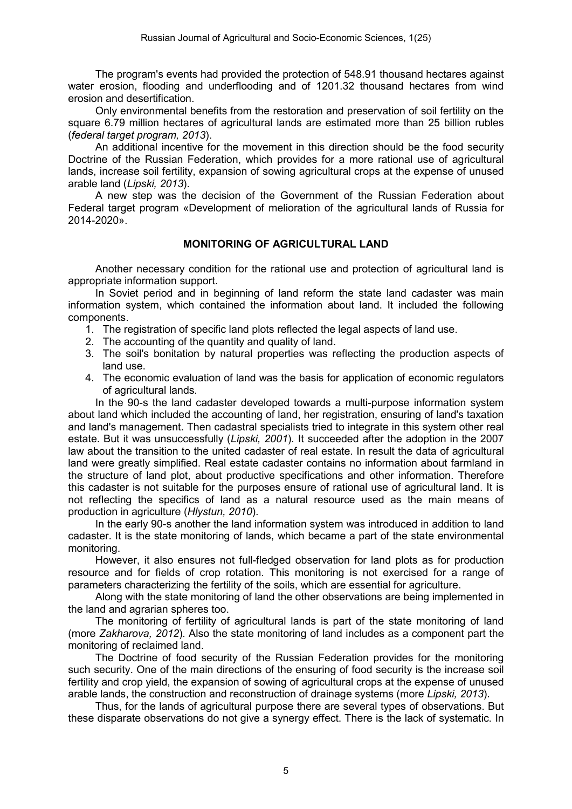The program's events had provided the protection of 548.91 thousand hectares against water erosion, flooding and underflooding and of 1201.32 thousand hectares from wind erosion and desertification.

Only environmental benefits from the restoration and preservation of soil fertility on the square 6.79 million hectares of agricultural lands are estimated more than 25 billion rubles (*federal target program, 2013*).

An additional incentive for the movement in this direction should be the food security Doctrine of the Russian Federation, which provides for a more rational use of agricultural lands, increase soil fertility, expansion of sowing agricultural crops at the expense of unused arable land (*Lipski, 2013*).

A new step was the decision of the Government of the Russian Federation about Federal target program «Development of melioration of the agricultural lands of Russia for 2014-2020».

# MONITORING OF AGRICULTURAL LAND

Another necessary condition for the rational use and protection of agricultural land is appropriate information support.

In Soviet period and in beginning of land reform the state land cadaster was main information system, which contained the information about land. It included the following components.

- 1. The registration of specific land plots reflected the legal aspects of land use.
- 2. The accounting of the quantity and quality of land.
- 3. The soil's bonitation by natural properties was reflecting the production aspects of land use.
- 4. The economic evaluation of land was the basis for application of economic regulators of agricultural lands.

In the 90-s the land cadaster developed towards a multi-purpose information system about land which included the accounting of land, her registration, ensuring of land's taxation and land's management. Then cadastral specialists tried to integrate in this system other real estate. But it was unsuccessfully (*Lipski, 2001*). It succeeded after the adoption in the 2007 law about the transition to the united cadaster of real estate. In result the data of agricultural land were greatly simplified. Real estate cadaster contains no information about farmland in the structure of land plot, about productive specifications and other information. Therefore this cadaster is not suitable for the purposes ensure of rational use of agricultural land. It is not reflecting the specifics of land as a natural resource used as the main means of production in agriculture (*Hlystun, 2010*).

In the early 90-s another the land information system was introduced in addition to land cadaster. It is the state monitoring of lands, which became a part of the state environmental monitoring.

However, it also ensures not full-fledged observation for land plots as for production resource and for fields of crop rotation. This monitoring is not exercised for a range of parameters characterizing the fertility of the soils, which are essential for agriculture.

Along with the state monitoring of land the other observations are being implemented in the land and agrarian spheres too.

The monitoring of fertility of agricultural lands is part of the state monitoring of land (more *Zakharova, 2012*). Also the state monitoring of land includes as a component part the monitoring of reclaimed land.

The Doctrine of food security of the Russian Federation provides for the monitoring such security. One of the main directions of the ensuring of food security is the increase soil fertility and crop yield, the expansion of sowing of agricultural crops at the expense of unused arable lands, the construction and reconstruction of drainage systems (more *Lipski, 2013*).

Thus, for the lands of agricultural purpose there are several types of observations. But these disparate observations do not give a synergy effect. There is the lack of systematic. In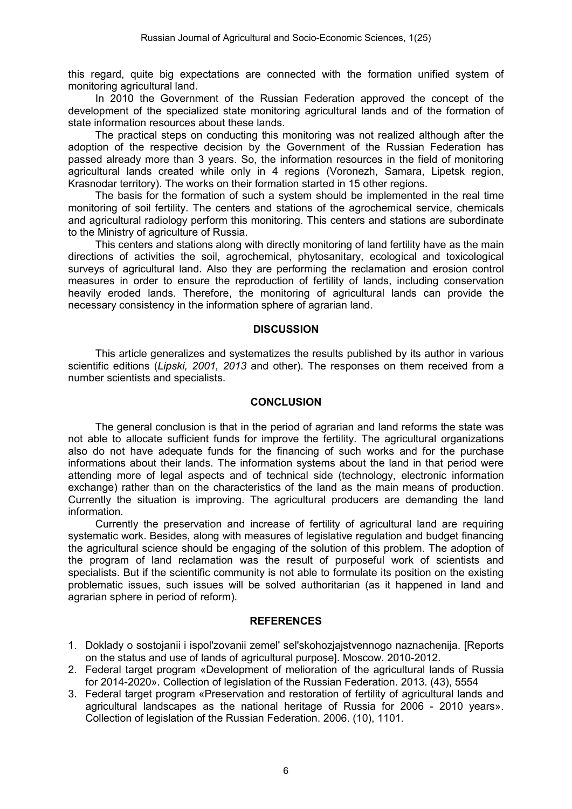this regard, quite big expectations are connected with the formation unified system of monitoring agricultural land.

In 2010 the Government of the Russian Federation approved the concept of the development of the specialized state monitoring agricultural lands and of the formation of state information resources about these lands.

The practical steps on conducting this monitoring was not realized although after the adoption of the respective decision by the Government of the Russian Federation has passed already more than 3 years. So, the information resources in the field of monitoring agricultural lands created while only in 4 regions (Voronezh, Samara, Lipetsk region, Krasnodar territory). The works on their formation started in 15 other regions.

The basis for the formation of such a system should be implemented in the real time monitoring of soil fertility. The centers and stations of the agrochemical service, chemicals and agricultural radiology perform this monitoring. This centers and stations are subordinate to the Ministry of agriculture of Russia.

This centers and stations along with directly monitoring of land fertility have as the main directions of activities the soil, agrochemical, phytosanitary, ecological and toxicological surveys of agricultural land. Also they are performing the reclamation and erosion control measures in order to ensure the reproduction of fertility of lands, including conservation heavily eroded lands. Therefore, the monitoring of agricultural lands can provide the necessary consistency in the information sphere of agrarian land.

## **DISCUSSION**

This article generalizes and systematizes the results published by its author in various scientific editions (*Lipski, 2001, 2013* and other). The responses on them received from a number scientists and specialists.

## **CONCLUSION**

The general conclusion is that in the period of agrarian and land reforms the state was not able to allocate sufficient funds for improve the fertility. The agricultural organizations also do not have adequate funds for the financing of such works and for the purchase informations about their lands. The information systems about the land in that period were attending more of legal aspects and of technical side (technology, electronic information exchange) rather than on the characteristics of the land as the main means of production. Currently the situation is improving. The agricultural producers are demanding the land information.

Currently the preservation and increase of fertility of agricultural land are requiring systematic work. Besides, along with measures of legislative regulation and budget financing the agricultural science should be engaging of the solution of this problem. The adoption of the program of land reclamation was the result of purposeful work of scientists and specialists. But if the scientific community is not able to formulate its position on the existing problematic issues, such issues will be solved authoritarian (as it happened in land and agrarian sphere in period of reform).

## REFERENCES

- 1. Doklady o sostojanii i ispol'zovanii zemel' sel'skohozjajstvennogo naznachenija. [Reports on the status and use of lands of agricultural purpose]. Moscow. 2010-2012.
- 2. Federal target program «Development of melioration of the agricultural lands of Russia for 2014-2020». Collection of legislation of the Russian Federation. 2013. (43), 5554
- 3. Federal target program «Preservation and restoration of fertility of agricultural lands and agricultural landscapes as the national heritage of Russia for 2006 - 2010 years». Collection of legislation of the Russian Federation. 2006. (10), 1101.